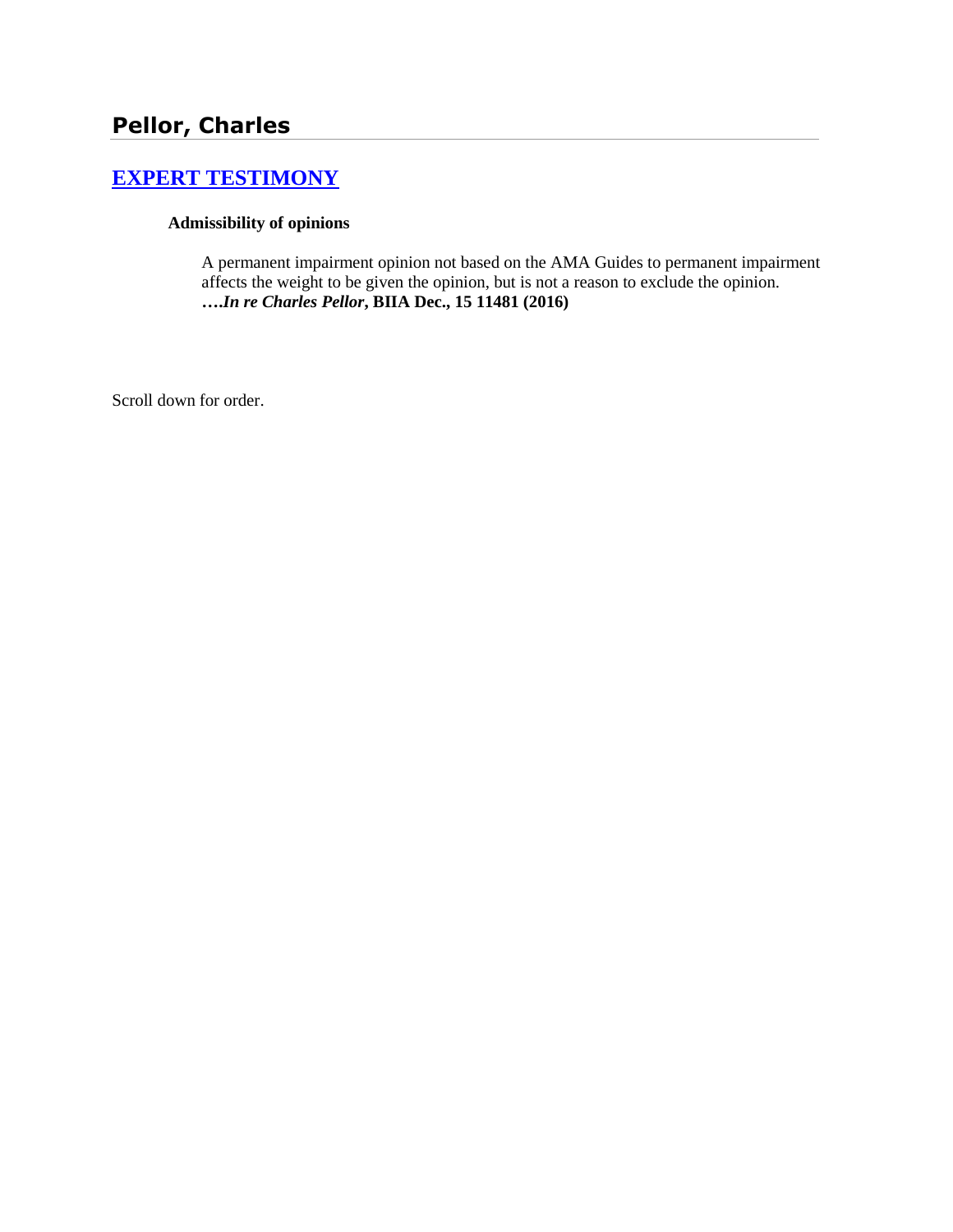# **[EXPERT TESTIMONY](http://www.biia.wa.gov/SDSubjectIndex.html#EXPERT_TESTIMONY)**

#### **Admissibility of opinions**

A permanent impairment opinion not based on the AMA Guides to permanent impairment affects the weight to be given the opinion, but is not a reason to exclude the opinion. **….***In re Charles Pellor***, BIIA Dec., 15 11481 (2016)** 

Scroll down for order.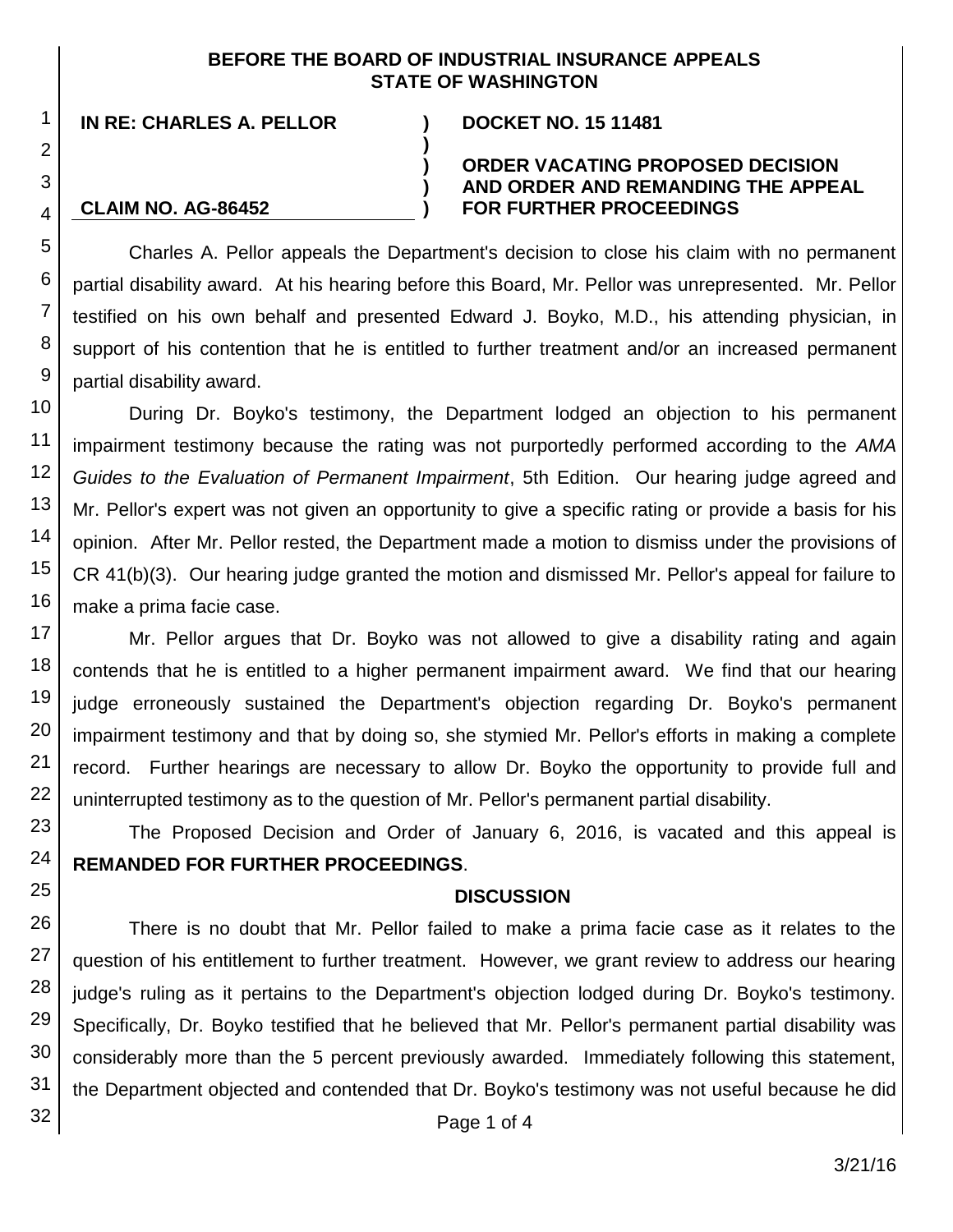#### **BEFORE THE BOARD OF INDUSTRIAL INSURANCE APPEALS STATE OF WASHINGTON**

**IN RE: CHARLES A. PELLOR ) DOCKET NO. 15 11481**

**CLAIM NO. AG-86452**

#### **ORDER VACATING PROPOSED DECISION AND ORDER AND REMANDING THE APPEAL FOR FURTHER PROCEEDINGS**

Charles A. Pellor appeals the Department's decision to close his claim with no permanent partial disability award. At his hearing before this Board, Mr. Pellor was unrepresented. Mr. Pellor testified on his own behalf and presented Edward J. Boyko, M.D., his attending physician, in support of his contention that he is entitled to further treatment and/or an increased permanent partial disability award.

**)**

**) ) )**

During Dr. Boyko's testimony, the Department lodged an objection to his permanent impairment testimony because the rating was not purportedly performed according to the *AMA Guides to the Evaluation of Permanent Impairment*, 5th Edition. Our hearing judge agreed and Mr. Pellor's expert was not given an opportunity to give a specific rating or provide a basis for his opinion. After Mr. Pellor rested, the Department made a motion to dismiss under the provisions of CR 41(b)(3). Our hearing judge granted the motion and dismissed Mr. Pellor's appeal for failure to make a prima facie case.

Mr. Pellor argues that Dr. Boyko was not allowed to give a disability rating and again contends that he is entitled to a higher permanent impairment award. We find that our hearing judge erroneously sustained the Department's objection regarding Dr. Boyko's permanent impairment testimony and that by doing so, she stymied Mr. Pellor's efforts in making a complete record. Further hearings are necessary to allow Dr. Boyko the opportunity to provide full and uninterrupted testimony as to the question of Mr. Pellor's permanent partial disability.

The Proposed Decision and Order of January 6, 2016, is vacated and this appeal is **REMANDED FOR FURTHER PROCEEDINGS**.

#### **DISCUSSION**

There is no doubt that Mr. Pellor failed to make a prima facie case as it relates to the question of his entitlement to further treatment. However, we grant review to address our hearing judge's ruling as it pertains to the Department's objection lodged during Dr. Boyko's testimony. Specifically, Dr. Boyko testified that he believed that Mr. Pellor's permanent partial disability was considerably more than the 5 percent previously awarded. Immediately following this statement, the Department objected and contended that Dr. Boyko's testimony was not useful because he did

Page 1 of 4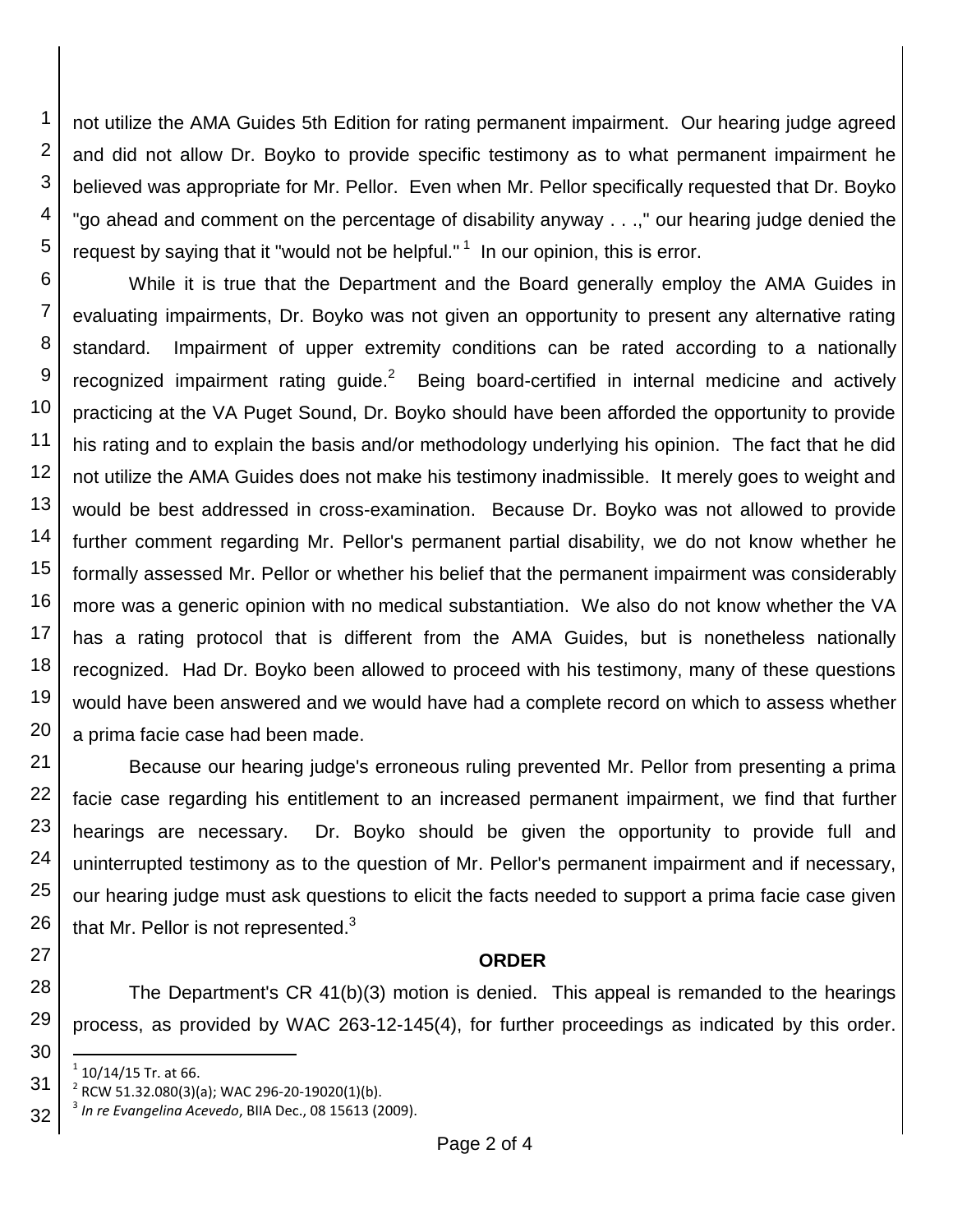1 2 3 4 5 not utilize the AMA Guides 5th Edition for rating permanent impairment. Our hearing judge agreed and did not allow Dr. Boyko to provide specific testimony as to what permanent impairment he believed was appropriate for Mr. Pellor. Even when Mr. Pellor specifically requested that Dr. Boyko "go ahead and comment on the percentage of disability anyway . . .," our hearing judge denied the request by saying that it "would not be helpful."  $1$  In our opinion, this is error.

6 7 8 9 10 11 12 13 14 15 16 17 18 19 20 While it is true that the Department and the Board generally employ the AMA Guides in evaluating impairments, Dr. Boyko was not given an opportunity to present any alternative rating standard. Impairment of upper extremity conditions can be rated according to a nationally recognized impairment rating guide. $2$  Being board-certified in internal medicine and actively practicing at the VA Puget Sound, Dr. Boyko should have been afforded the opportunity to provide his rating and to explain the basis and/or methodology underlying his opinion. The fact that he did not utilize the AMA Guides does not make his testimony inadmissible. It merely goes to weight and would be best addressed in cross-examination. Because Dr. Boyko was not allowed to provide further comment regarding Mr. Pellor's permanent partial disability, we do not know whether he formally assessed Mr. Pellor or whether his belief that the permanent impairment was considerably more was a generic opinion with no medical substantiation. We also do not know whether the VA has a rating protocol that is different from the AMA Guides, but is nonetheless nationally recognized. Had Dr. Boyko been allowed to proceed with his testimony, many of these questions would have been answered and we would have had a complete record on which to assess whether a prima facie case had been made.

21 22 23 24 25 26 Because our hearing judge's erroneous ruling prevented Mr. Pellor from presenting a prima facie case regarding his entitlement to an increased permanent impairment, we find that further hearings are necessary. Dr. Boyko should be given the opportunity to provide full and uninterrupted testimony as to the question of Mr. Pellor's permanent impairment and if necessary, our hearing judge must ask questions to elicit the facts needed to support a prima facie case given that Mr. Pellor is not represented. $3$ 

#### **ORDER**

28 The Department's CR 41(b)(3) motion is denied. This appeal is remanded to the hearings process, as provided by WAC 263-12-145(4), for further proceedings as indicated by this order.

27

29

30

l  $1$  10/14/15 Tr. at 66.

<sup>31</sup>  $2^{2}$  RCW 51.32.080(3)(a); WAC 296-20-19020(1)(b).

<sup>32</sup> 3 *In re Evangelina Acevedo*, BIIA Dec., 08 15613 (2009).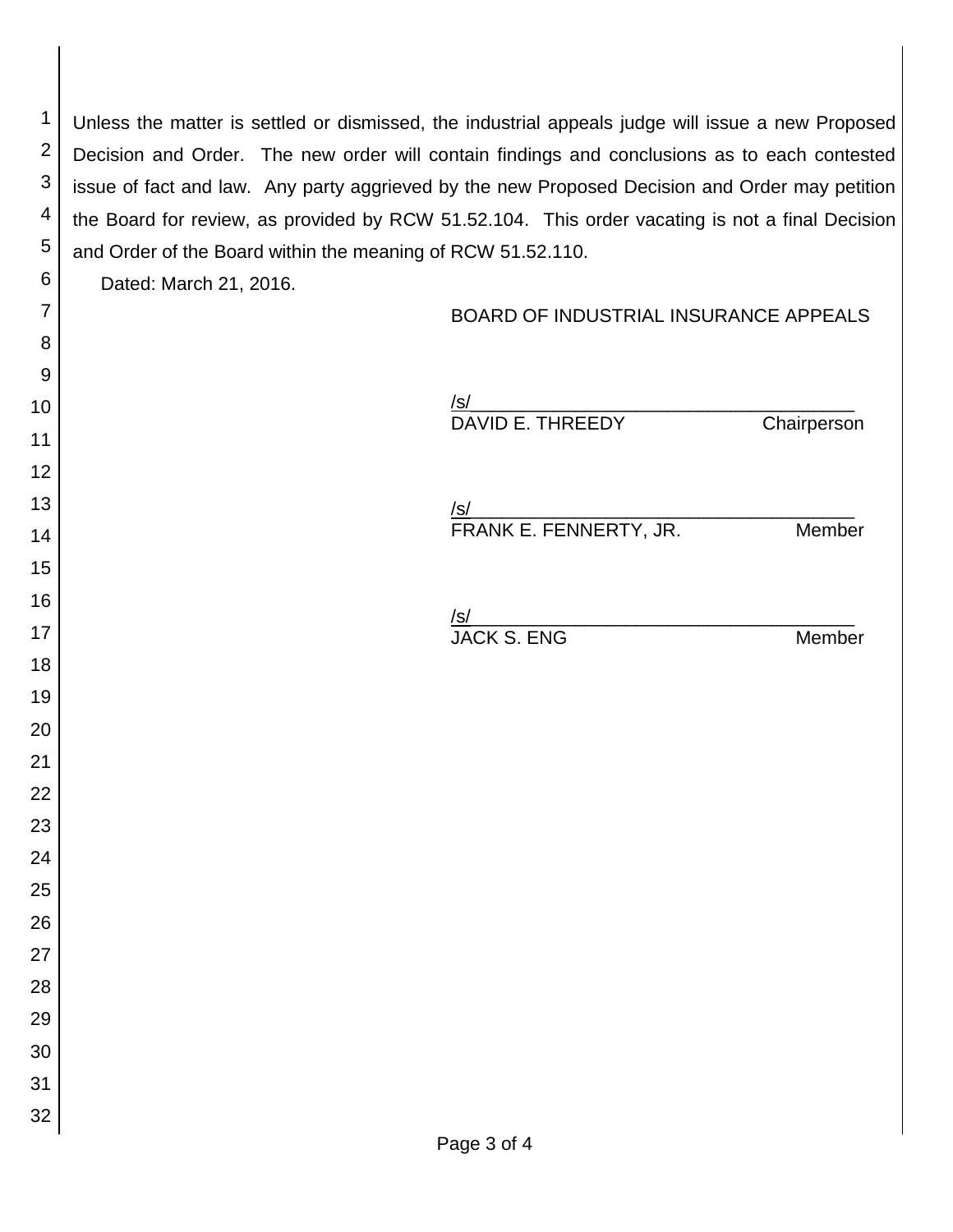Unless the matter is settled or dismissed, the industrial appeals judge will issue a new Proposed Decision and Order. The new order will contain findings and conclusions as to each contested issue of fact and law. Any party aggrieved by the new Proposed Decision and Order may petition the Board for review, as provided by RCW 51.52.104. This order vacating is not a final Decision and Order of the Board within the meaning of RCW 51.52.110.

Dated: March 21, 2016.

 

 

 

 

## BOARD OF INDUSTRIAL INSURANCE APPEALS

| <u>/s/</u><br>DAVID E. THREEDY C     | Chairperson |
|--------------------------------------|-------------|
| <u>/s/</u><br>FRANK E. FENNERTY, JR. | Member      |
|                                      | Member      |
|                                      |             |
|                                      |             |
|                                      |             |
|                                      |             |
|                                      |             |